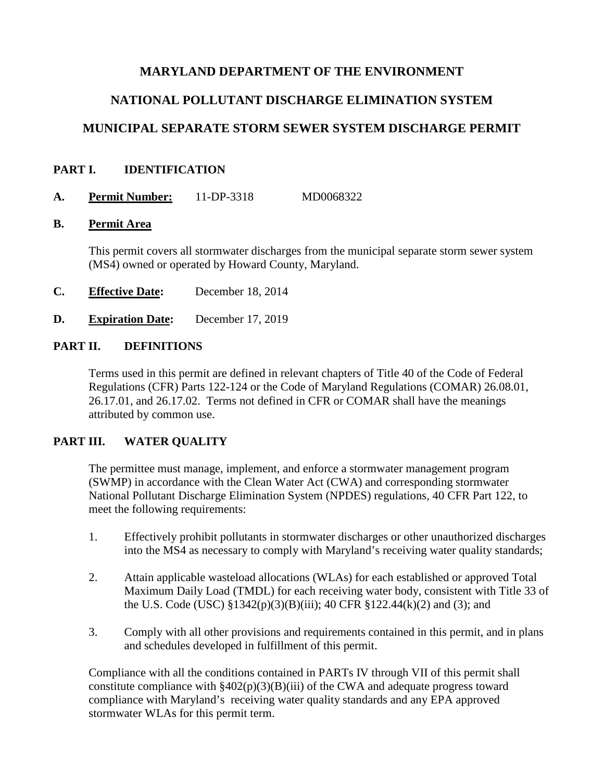# **MARYLAND DEPARTMENT OF THE ENVIRONMENT**

# **NATIONAL POLLUTANT DISCHARGE ELIMINATION SYSTEM**

# **MUNICIPAL SEPARATE STORM SEWER SYSTEM DISCHARGE PERMIT**

## **PART I. IDENTIFICATION**

**A. Permit Number:** 11-DP-3318 MD0068322

#### **B. Permit Area**

This permit covers all stormwater discharges from the municipal separate storm sewer system (MS4) owned or operated by Howard County, Maryland.

- **C. Effective Date:** December 18, 2014
- **D. Expiration Date:** December 17, 2019

## **PART II. DEFINITIONS**

Terms used in this permit are defined in relevant chapters of Title 40 of the Code of Federal Regulations (CFR) Parts 122-124 or the Code of Maryland Regulations (COMAR) 26.08.01, 26.17.01, and 26.17.02. Terms not defined in CFR or COMAR shall have the meanings attributed by common use.

# **PART III. WATER QUALITY**

The permittee must manage, implement, and enforce a stormwater management program (SWMP) in accordance with the Clean Water Act (CWA) and corresponding stormwater National Pollutant Discharge Elimination System (NPDES) regulations, 40 CFR Part 122, to meet the following requirements:

- 1. Effectively prohibit pollutants in stormwater discharges or other unauthorized discharges into the MS4 as necessary to comply with Maryland's receiving water quality standards;
- 2. Attain applicable wasteload allocations (WLAs) for each established or approved Total Maximum Daily Load (TMDL) for each receiving water body, consistent with Title 33 of the U.S. Code (USC) §1342(p)(3)(B)(iii); 40 CFR §122.44(k)(2) and (3); and
- 3. Comply with all other provisions and requirements contained in this permit, and in plans and schedules developed in fulfillment of this permit.

Compliance with all the conditions contained in PARTs IV through VII of this permit shall constitute compliance with  $\frac{2402(p)(3)(B)}{ii}$  of the CWA and adequate progress toward compliance with Maryland's receiving water quality standards and any EPA approved stormwater WLAs for this permit term.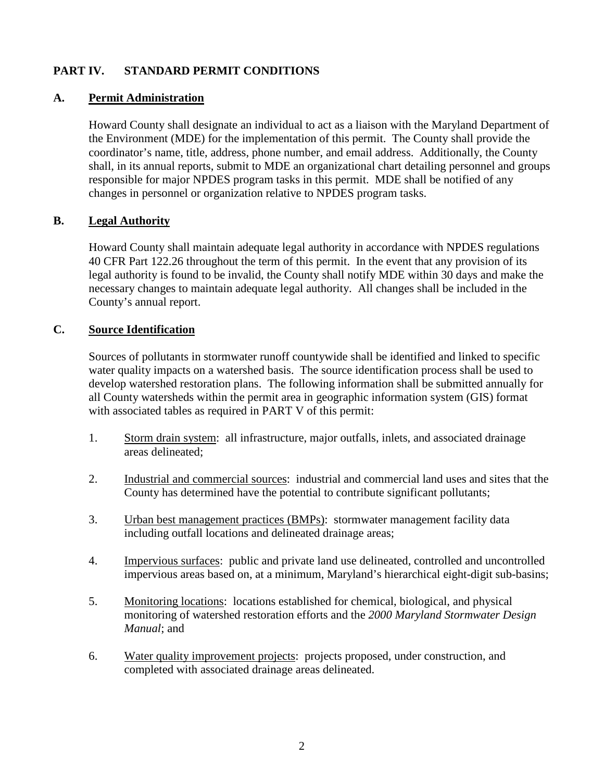# **PART IV. STANDARD PERMIT CONDITIONS**

#### **A. Permit Administration**

Howard County shall designate an individual to act as a liaison with the Maryland Department of the Environment (MDE) for the implementation of this permit. The County shall provide the coordinator's name, title, address, phone number, and email address. Additionally, the County shall, in its annual reports, submit to MDE an organizational chart detailing personnel and groups responsible for major NPDES program tasks in this permit. MDE shall be notified of any changes in personnel or organization relative to NPDES program tasks.

#### **B. Legal Authority**

Howard County shall maintain adequate legal authority in accordance with NPDES regulations 40 CFR Part 122.26 throughout the term of this permit. In the event that any provision of its legal authority is found to be invalid, the County shall notify MDE within 30 days and make the necessary changes to maintain adequate legal authority. All changes shall be included in the County's annual report.

#### **C. Source Identification**

Sources of pollutants in stormwater runoff countywide shall be identified and linked to specific water quality impacts on a watershed basis. The source identification process shall be used to develop watershed restoration plans. The following information shall be submitted annually for all County watersheds within the permit area in geographic information system (GIS) format with associated tables as required in PART V of this permit:

- 1. Storm drain system: all infrastructure, major outfalls, inlets, and associated drainage areas delineated;
- 2. Industrial and commercial sources: industrial and commercial land uses and sites that the County has determined have the potential to contribute significant pollutants;
- 3. Urban best management practices (BMPs): stormwater management facility data including outfall locations and delineated drainage areas;
- 4. Impervious surfaces: public and private land use delineated, controlled and uncontrolled impervious areas based on, at a minimum, Maryland's hierarchical eight-digit sub-basins;
- 5. Monitoring locations: locations established for chemical, biological, and physical monitoring of watershed restoration efforts and the *2000 Maryland Stormwater Design Manual*; and
- 6. Water quality improvement projects: projects proposed, under construction, and completed with associated drainage areas delineated.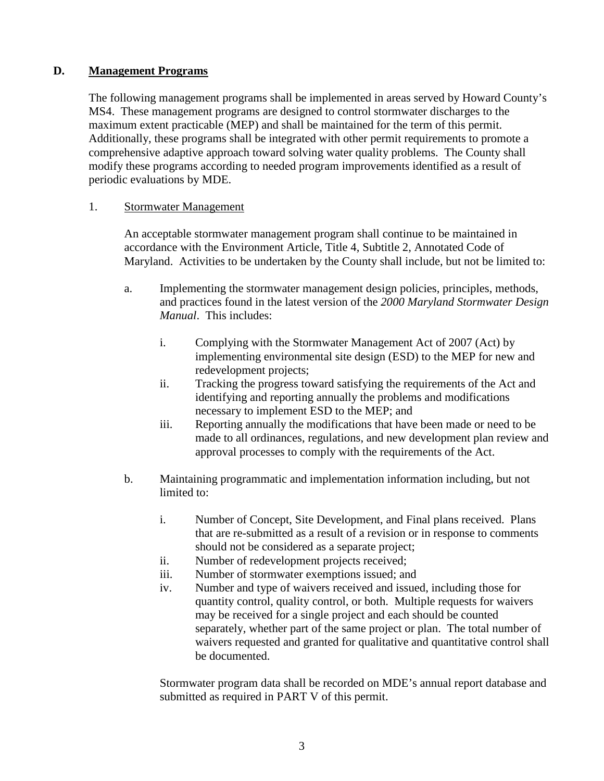## **D. Management Programs**

The following management programs shall be implemented in areas served by Howard County's MS4. These management programs are designed to control stormwater discharges to the maximum extent practicable (MEP) and shall be maintained for the term of this permit. Additionally, these programs shall be integrated with other permit requirements to promote a comprehensive adaptive approach toward solving water quality problems. The County shall modify these programs according to needed program improvements identified as a result of periodic evaluations by MDE.

#### 1. Stormwater Management

An acceptable stormwater management program shall continue to be maintained in accordance with the Environment Article, Title 4, Subtitle 2, Annotated Code of Maryland. Activities to be undertaken by the County shall include, but not be limited to:

- a. Implementing the stormwater management design policies, principles, methods, and practices found in the latest version of the *2000 Maryland Stormwater Design Manual*. This includes:
	- i. Complying with the Stormwater Management Act of 2007 (Act) by implementing environmental site design (ESD) to the MEP for new and redevelopment projects;
	- ii. Tracking the progress toward satisfying the requirements of the Act and identifying and reporting annually the problems and modifications necessary to implement ESD to the MEP; and
	- iii. Reporting annually the modifications that have been made or need to be made to all ordinances, regulations, and new development plan review and approval processes to comply with the requirements of the Act.
- b. Maintaining programmatic and implementation information including, but not limited to:
	- i. Number of Concept, Site Development, and Final plans received. Plans that are re-submitted as a result of a revision or in response to comments should not be considered as a separate project;
	- ii. Number of redevelopment projects received;
	- iii. Number of stormwater exemptions issued; and
	- iv. Number and type of waivers received and issued, including those for quantity control, quality control, or both. Multiple requests for waivers may be received for a single project and each should be counted separately, whether part of the same project or plan. The total number of waivers requested and granted for qualitative and quantitative control shall be documented.

Stormwater program data shall be recorded on MDE's annual report database and submitted as required in PART V of this permit.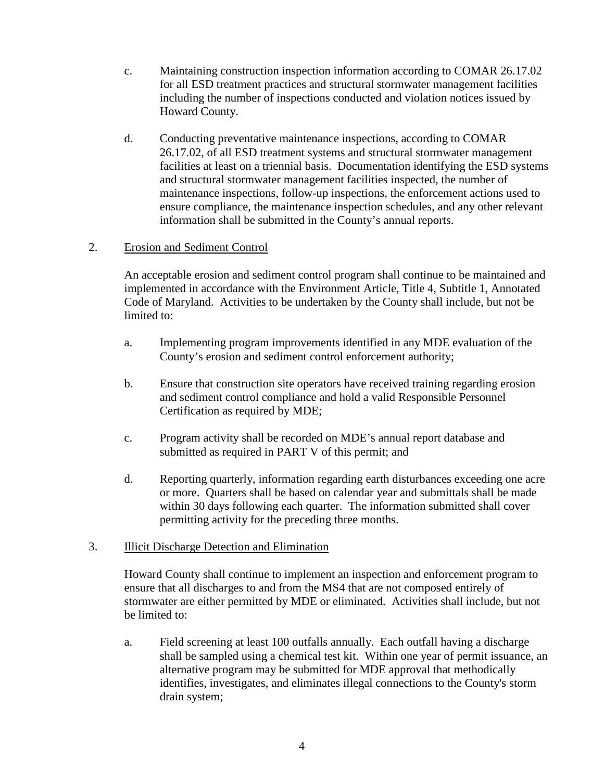- c. Maintaining construction inspection information according to COMAR 26.17.02 for all ESD treatment practices and structural stormwater management facilities including the number of inspections conducted and violation notices issued by Howard County.
- d. Conducting preventative maintenance inspections, according to COMAR 26.17.02, of all ESD treatment systems and structural stormwater management facilities at least on a triennial basis. Documentation identifying the ESD systems and structural stormwater management facilities inspected, the number of maintenance inspections, follow-up inspections, the enforcement actions used to ensure compliance, the maintenance inspection schedules, and any other relevant information shall be submitted in the County's annual reports.

#### 2. Erosion and Sediment Control

An acceptable erosion and sediment control program shall continue to be maintained and implemented in accordance with the Environment Article, Title 4, Subtitle 1, Annotated Code of Maryland. Activities to be undertaken by the County shall include, but not be limited to:

- a. Implementing program improvements identified in any MDE evaluation of the County's erosion and sediment control enforcement authority;
- b. Ensure that construction site operators have received training regarding erosion and sediment control compliance and hold a valid Responsible Personnel Certification as required by MDE;
- c. Program activity shall be recorded on MDE's annual report database and submitted as required in PART V of this permit; and
- d. Reporting quarterly, information regarding earth disturbances exceeding one acre or more. Quarters shall be based on calendar year and submittals shall be made within 30 days following each quarter. The information submitted shall cover permitting activity for the preceding three months.

## 3. Illicit Discharge Detection and Elimination

Howard County shall continue to implement an inspection and enforcement program to ensure that all discharges to and from the MS4 that are not composed entirely of stormwater are either permitted by MDE or eliminated. Activities shall include, but not be limited to:

a. Field screening at least 100 outfalls annually. Each outfall having a discharge shall be sampled using a chemical test kit. Within one year of permit issuance, an alternative program may be submitted for MDE approval that methodically identifies, investigates, and eliminates illegal connections to the County's storm drain system;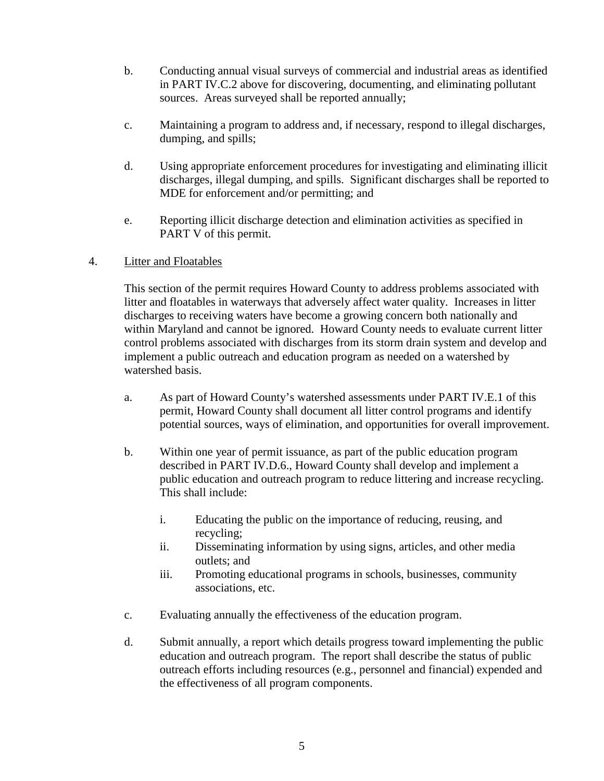- b. Conducting annual visual surveys of commercial and industrial areas as identified in PART IV.C.2 above for discovering, documenting, and eliminating pollutant sources. Areas surveyed shall be reported annually;
- c. Maintaining a program to address and, if necessary, respond to illegal discharges, dumping, and spills;
- d. Using appropriate enforcement procedures for investigating and eliminating illicit discharges, illegal dumping, and spills. Significant discharges shall be reported to MDE for enforcement and/or permitting; and
- e. Reporting illicit discharge detection and elimination activities as specified in PART V of this permit.

#### 4. Litter and Floatables

This section of the permit requires Howard County to address problems associated with litter and floatables in waterways that adversely affect water quality. Increases in litter discharges to receiving waters have become a growing concern both nationally and within Maryland and cannot be ignored. Howard County needs to evaluate current litter control problems associated with discharges from its storm drain system and develop and implement a public outreach and education program as needed on a watershed by watershed basis.

- a. As part of Howard County's watershed assessments under PART IV.E.1 of this permit, Howard County shall document all litter control programs and identify potential sources, ways of elimination, and opportunities for overall improvement.
- b. Within one year of permit issuance, as part of the public education program described in PART IV.D.6., Howard County shall develop and implement a public education and outreach program to reduce littering and increase recycling. This shall include:
	- i. Educating the public on the importance of reducing, reusing, and recycling;
	- ii. Disseminating information by using signs, articles, and other media outlets; and
	- iii. Promoting educational programs in schools, businesses, community associations, etc.
- c. Evaluating annually the effectiveness of the education program.
- d. Submit annually, a report which details progress toward implementing the public education and outreach program. The report shall describe the status of public outreach efforts including resources (e.g., personnel and financial) expended and the effectiveness of all program components.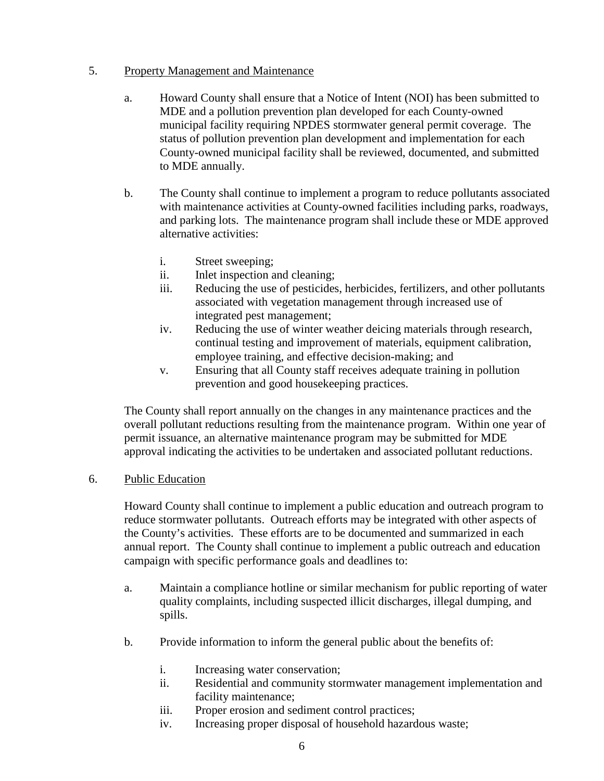#### 5. Property Management and Maintenance

- a. Howard County shall ensure that a Notice of Intent (NOI) has been submitted to MDE and a pollution prevention plan developed for each County-owned municipal facility requiring NPDES stormwater general permit coverage. The status of pollution prevention plan development and implementation for each County-owned municipal facility shall be reviewed, documented, and submitted to MDE annually.
- b. The County shall continue to implement a program to reduce pollutants associated with maintenance activities at County-owned facilities including parks, roadways, and parking lots. The maintenance program shall include these or MDE approved alternative activities:
	- i. Street sweeping;
	- ii. Inlet inspection and cleaning;
	- iii. Reducing the use of pesticides, herbicides, fertilizers, and other pollutants associated with vegetation management through increased use of integrated pest management;
	- iv. Reducing the use of winter weather deicing materials through research, continual testing and improvement of materials, equipment calibration, employee training, and effective decision-making; and
	- v. Ensuring that all County staff receives adequate training in pollution prevention and good housekeeping practices.

The County shall report annually on the changes in any maintenance practices and the overall pollutant reductions resulting from the maintenance program. Within one year of permit issuance, an alternative maintenance program may be submitted for MDE approval indicating the activities to be undertaken and associated pollutant reductions.

#### 6. Public Education

Howard County shall continue to implement a public education and outreach program to reduce stormwater pollutants. Outreach efforts may be integrated with other aspects of the County's activities. These efforts are to be documented and summarized in each annual report. The County shall continue to implement a public outreach and education campaign with specific performance goals and deadlines to:

- a. Maintain a compliance hotline or similar mechanism for public reporting of water quality complaints, including suspected illicit discharges, illegal dumping, and spills.
- b. Provide information to inform the general public about the benefits of:
	- i. Increasing water conservation;
	- ii. Residential and community stormwater management implementation and facility maintenance;
	- iii. Proper erosion and sediment control practices;
	- iv. Increasing proper disposal of household hazardous waste;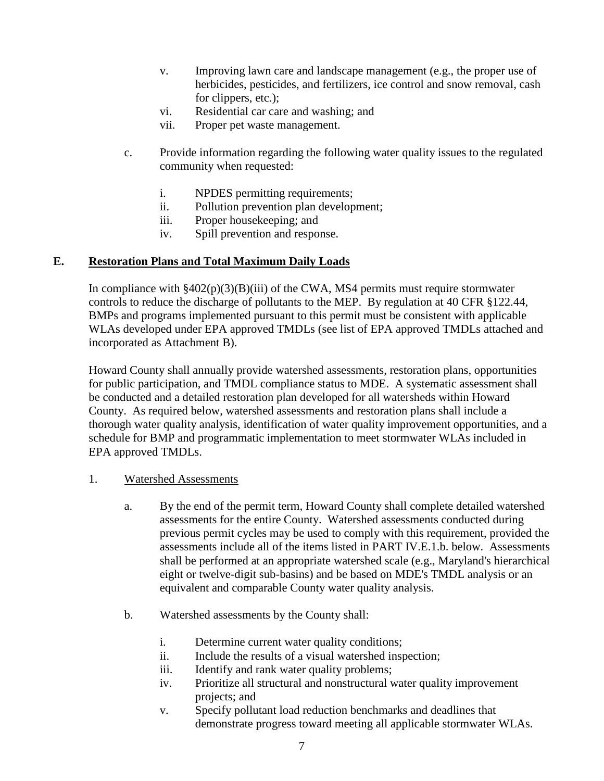- v. Improving lawn care and landscape management (e.g., the proper use of herbicides, pesticides, and fertilizers, ice control and snow removal, cash for clippers, etc.);
- vi. Residential car care and washing; and
- vii. Proper pet waste management.
- c. Provide information regarding the following water quality issues to the regulated community when requested:
	- i. NPDES permitting requirements;
	- ii. Pollution prevention plan development;
	- iii. Proper housekeeping; and
	- iv. Spill prevention and response.

#### **E. Restoration Plans and Total Maximum Daily Loads**

In compliance with  $\frac{8402(p)(3)(B)}{ii}$  of the CWA, MS4 permits must require stormwater controls to reduce the discharge of pollutants to the MEP. By regulation at 40 CFR §122.44, BMPs and programs implemented pursuant to this permit must be consistent with applicable WLAs developed under EPA approved TMDLs (see list of EPA approved TMDLs attached and incorporated as Attachment B).

Howard County shall annually provide watershed assessments, restoration plans, opportunities for public participation, and TMDL compliance status to MDE. A systematic assessment shall be conducted and a detailed restoration plan developed for all watersheds within Howard County. As required below, watershed assessments and restoration plans shall include a thorough water quality analysis, identification of water quality improvement opportunities, and a schedule for BMP and programmatic implementation to meet stormwater WLAs included in EPA approved TMDLs.

#### 1. Watershed Assessments

- a. By the end of the permit term, Howard County shall complete detailed watershed assessments for the entire County. Watershed assessments conducted during previous permit cycles may be used to comply with this requirement, provided the assessments include all of the items listed in PART IV.E.1.b. below. Assessments shall be performed at an appropriate watershed scale (e.g., Maryland's hierarchical eight or twelve-digit sub-basins) and be based on MDE's TMDL analysis or an equivalent and comparable County water quality analysis.
- b. Watershed assessments by the County shall:
	- i. Determine current water quality conditions;
	- ii. Include the results of a visual watershed inspection;
	- iii. Identify and rank water quality problems;
	- iv. Prioritize all structural and nonstructural water quality improvement projects; and
	- v. Specify pollutant load reduction benchmarks and deadlines that demonstrate progress toward meeting all applicable stormwater WLAs.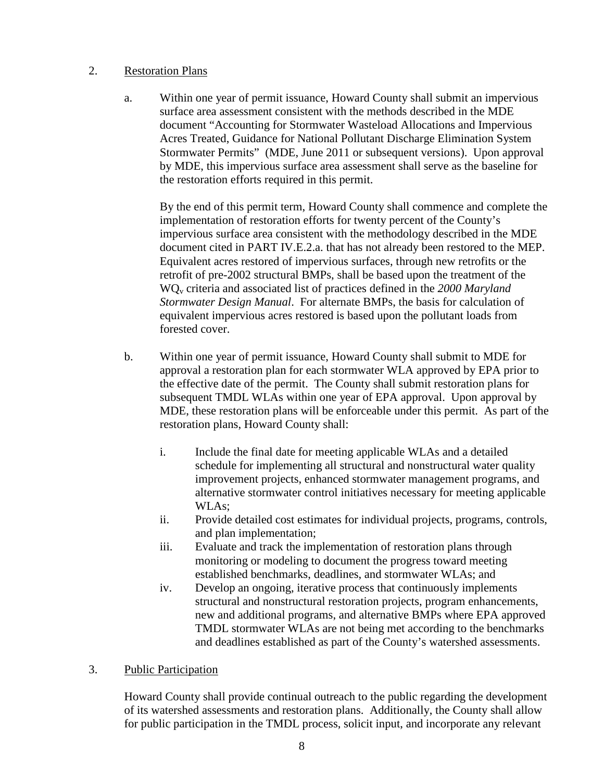#### 2. Restoration Plans

a. Within one year of permit issuance, Howard County shall submit an impervious surface area assessment consistent with the methods described in the MDE document "Accounting for Stormwater Wasteload Allocations and Impervious Acres Treated, Guidance for National Pollutant Discharge Elimination System Stormwater Permits" (MDE, June 2011 or subsequent versions). Upon approval by MDE, this impervious surface area assessment shall serve as the baseline for the restoration efforts required in this permit.

By the end of this permit term, Howard County shall commence and complete the implementation of restoration efforts for twenty percent of the County's impervious surface area consistent with the methodology described in the MDE document cited in PART IV.E.2.a. that has not already been restored to the MEP. Equivalent acres restored of impervious surfaces, through new retrofits or the retrofit of pre-2002 structural BMPs, shall be based upon the treatment of the WQv criteria and associated list of practices defined in the *2000 Maryland Stormwater Design Manual*. For alternate BMPs, the basis for calculation of equivalent impervious acres restored is based upon the pollutant loads from forested cover.

- b. Within one year of permit issuance, Howard County shall submit to MDE for approval a restoration plan for each stormwater WLA approved by EPA prior to the effective date of the permit. The County shall submit restoration plans for subsequent TMDL WLAs within one year of EPA approval. Upon approval by MDE, these restoration plans will be enforceable under this permit. As part of the restoration plans, Howard County shall:
	- i. Include the final date for meeting applicable WLAs and a detailed schedule for implementing all structural and nonstructural water quality improvement projects, enhanced stormwater management programs, and alternative stormwater control initiatives necessary for meeting applicable WLAs;
	- ii. Provide detailed cost estimates for individual projects, programs, controls, and plan implementation;
	- iii. Evaluate and track the implementation of restoration plans through monitoring or modeling to document the progress toward meeting established benchmarks, deadlines, and stormwater WLAs; and
	- iv. Develop an ongoing, iterative process that continuously implements structural and nonstructural restoration projects, program enhancements, new and additional programs, and alternative BMPs where EPA approved TMDL stormwater WLAs are not being met according to the benchmarks and deadlines established as part of the County's watershed assessments.

## 3. Public Participation

Howard County shall provide continual outreach to the public regarding the development of its watershed assessments and restoration plans. Additionally, the County shall allow for public participation in the TMDL process, solicit input, and incorporate any relevant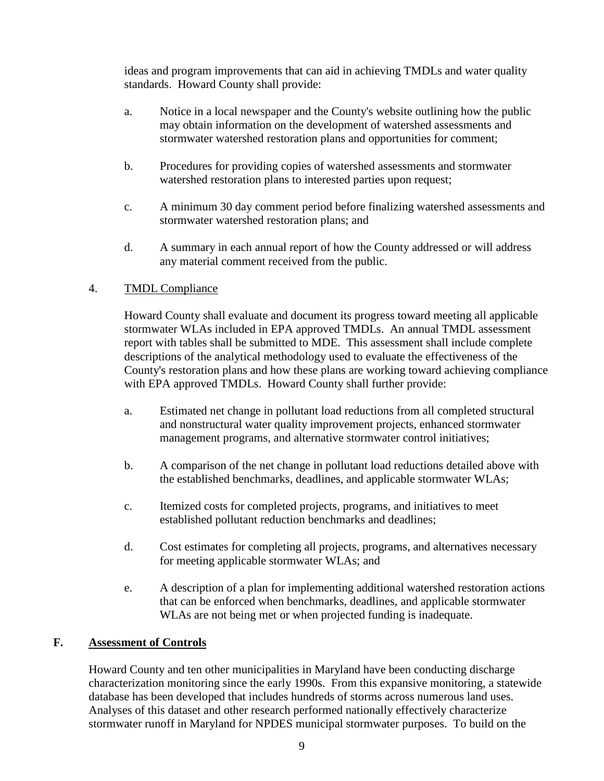ideas and program improvements that can aid in achieving TMDLs and water quality standards. Howard County shall provide:

- a. Notice in a local newspaper and the County's website outlining how the public may obtain information on the development of watershed assessments and stormwater watershed restoration plans and opportunities for comment;
- b. Procedures for providing copies of watershed assessments and stormwater watershed restoration plans to interested parties upon request;
- c. A minimum 30 day comment period before finalizing watershed assessments and stormwater watershed restoration plans; and
- d. A summary in each annual report of how the County addressed or will address any material comment received from the public.

## 4. TMDL Compliance

Howard County shall evaluate and document its progress toward meeting all applicable stormwater WLAs included in EPA approved TMDLs. An annual TMDL assessment report with tables shall be submitted to MDE. This assessment shall include complete descriptions of the analytical methodology used to evaluate the effectiveness of the County's restoration plans and how these plans are working toward achieving compliance with EPA approved TMDLs. Howard County shall further provide:

- a. Estimated net change in pollutant load reductions from all completed structural and nonstructural water quality improvement projects, enhanced stormwater management programs, and alternative stormwater control initiatives;
- b. A comparison of the net change in pollutant load reductions detailed above with the established benchmarks, deadlines, and applicable stormwater WLAs;
- c. Itemized costs for completed projects, programs, and initiatives to meet established pollutant reduction benchmarks and deadlines;
- d. Cost estimates for completing all projects, programs, and alternatives necessary for meeting applicable stormwater WLAs; and
- e. A description of a plan for implementing additional watershed restoration actions that can be enforced when benchmarks, deadlines, and applicable stormwater WLAs are not being met or when projected funding is inadequate.

## **F. Assessment of Controls**

Howard County and ten other municipalities in Maryland have been conducting discharge characterization monitoring since the early 1990s. From this expansive monitoring, a statewide database has been developed that includes hundreds of storms across numerous land uses. Analyses of this dataset and other research performed nationally effectively characterize stormwater runoff in Maryland for NPDES municipal stormwater purposes. To build on the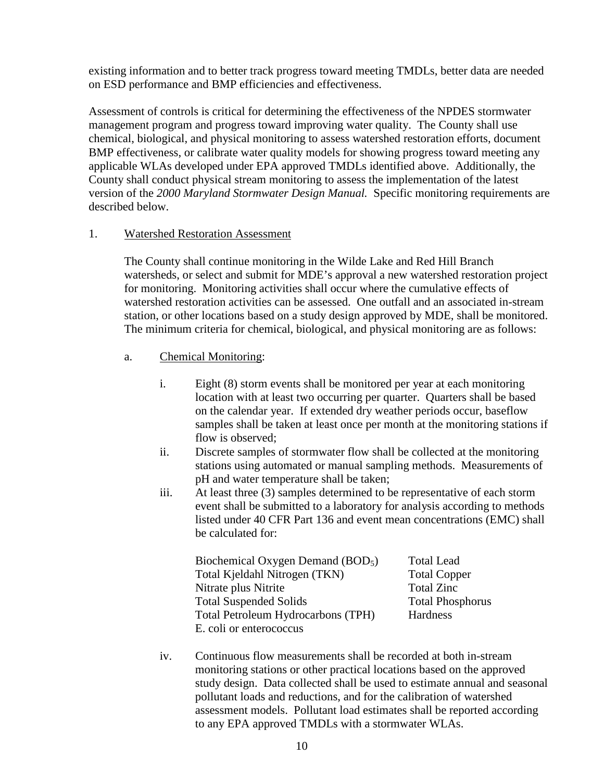existing information and to better track progress toward meeting TMDLs, better data are needed on ESD performance and BMP efficiencies and effectiveness.

Assessment of controls is critical for determining the effectiveness of the NPDES stormwater management program and progress toward improving water quality. The County shall use chemical, biological, and physical monitoring to assess watershed restoration efforts, document BMP effectiveness, or calibrate water quality models for showing progress toward meeting any applicable WLAs developed under EPA approved TMDLs identified above. Additionally, the County shall conduct physical stream monitoring to assess the implementation of the latest version of the *2000 Maryland Stormwater Design Manual.* Specific monitoring requirements are described below.

#### 1. Watershed Restoration Assessment

The County shall continue monitoring in the Wilde Lake and Red Hill Branch watersheds, or select and submit for MDE's approval a new watershed restoration project for monitoring. Monitoring activities shall occur where the cumulative effects of watershed restoration activities can be assessed. One outfall and an associated in-stream station, or other locations based on a study design approved by MDE, shall be monitored. The minimum criteria for chemical, biological, and physical monitoring are as follows:

- a. Chemical Monitoring:
	- i. Eight (8) storm events shall be monitored per year at each monitoring location with at least two occurring per quarter. Quarters shall be based on the calendar year. If extended dry weather periods occur, baseflow samples shall be taken at least once per month at the monitoring stations if flow is observed;
	- ii. Discrete samples of stormwater flow shall be collected at the monitoring stations using automated or manual sampling methods. Measurements of pH and water temperature shall be taken;
	- iii. At least three (3) samples determined to be representative of each storm event shall be submitted to a laboratory for analysis according to methods listed under 40 CFR Part 136 and event mean concentrations (EMC) shall be calculated for:

| Biochemical Oxygen Demand (BOD <sub>5</sub> ) | <b>Total Lead</b>       |
|-----------------------------------------------|-------------------------|
| Total Kjeldahl Nitrogen (TKN)                 | <b>Total Copper</b>     |
| Nitrate plus Nitrite                          | <b>Total Zinc</b>       |
| <b>Total Suspended Solids</b>                 | <b>Total Phosphorus</b> |
| Total Petroleum Hydrocarbons (TPH)            | Hardness                |
| E. coli or enterococcus                       |                         |

iv. Continuous flow measurements shall be recorded at both in-stream monitoring stations or other practical locations based on the approved study design. Data collected shall be used to estimate annual and seasonal pollutant loads and reductions, and for the calibration of watershed assessment models. Pollutant load estimates shall be reported according to any EPA approved TMDLs with a stormwater WLAs.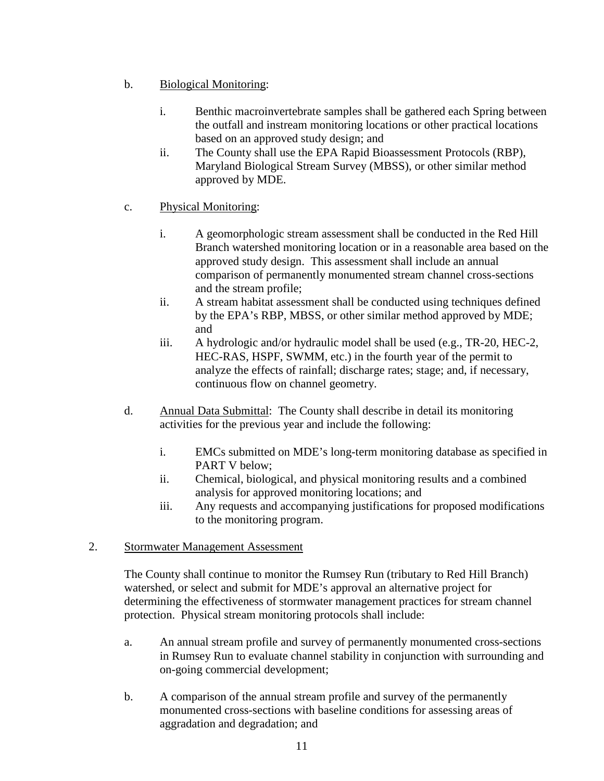- b. Biological Monitoring:
	- i. Benthic macroinvertebrate samples shall be gathered each Spring between the outfall and instream monitoring locations or other practical locations based on an approved study design; and
	- ii. The County shall use the EPA Rapid Bioassessment Protocols (RBP), Maryland Biological Stream Survey (MBSS), or other similar method approved by MDE.
- c. Physical Monitoring:
	- i. A geomorphologic stream assessment shall be conducted in the Red Hill Branch watershed monitoring location or in a reasonable area based on the approved study design. This assessment shall include an annual comparison of permanently monumented stream channel cross-sections and the stream profile;
	- ii. A stream habitat assessment shall be conducted using techniques defined by the EPA's RBP, MBSS, or other similar method approved by MDE; and
	- iii. A hydrologic and/or hydraulic model shall be used (e.g., TR-20, HEC-2, HEC-RAS, HSPF, SWMM, etc.) in the fourth year of the permit to analyze the effects of rainfall; discharge rates; stage; and, if necessary, continuous flow on channel geometry.
- d. Annual Data Submittal: The County shall describe in detail its monitoring activities for the previous year and include the following:
	- i. EMCs submitted on MDE's long-term monitoring database as specified in PART V below;
	- ii. Chemical, biological, and physical monitoring results and a combined analysis for approved monitoring locations; and
	- iii. Any requests and accompanying justifications for proposed modifications to the monitoring program.
- 2. Stormwater Management Assessment

The County shall continue to monitor the Rumsey Run (tributary to Red Hill Branch) watershed, or select and submit for MDE's approval an alternative project for determining the effectiveness of stormwater management practices for stream channel protection. Physical stream monitoring protocols shall include:

- a. An annual stream profile and survey of permanently monumented cross-sections in Rumsey Run to evaluate channel stability in conjunction with surrounding and on-going commercial development;
- b. A comparison of the annual stream profile and survey of the permanently monumented cross-sections with baseline conditions for assessing areas of aggradation and degradation; and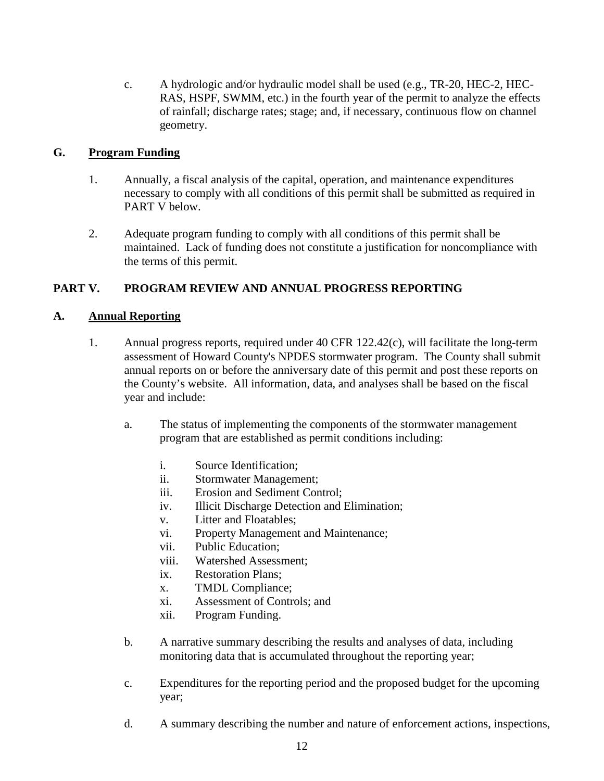c. A hydrologic and/or hydraulic model shall be used (e.g., TR-20, HEC-2, HEC-RAS, HSPF, SWMM, etc.) in the fourth year of the permit to analyze the effects of rainfall; discharge rates; stage; and, if necessary, continuous flow on channel geometry.

### **G. Program Funding**

- 1. Annually, a fiscal analysis of the capital, operation, and maintenance expenditures necessary to comply with all conditions of this permit shall be submitted as required in PART V below.
- 2. Adequate program funding to comply with all conditions of this permit shall be maintained. Lack of funding does not constitute a justification for noncompliance with the terms of this permit.

## **PART V. PROGRAM REVIEW AND ANNUAL PROGRESS REPORTING**

## **A. Annual Reporting**

- 1. Annual progress reports, required under 40 CFR 122.42(c), will facilitate the long-term assessment of Howard County's NPDES stormwater program. The County shall submit annual reports on or before the anniversary date of this permit and post these reports on the County's website. All information, data, and analyses shall be based on the fiscal year and include:
	- a. The status of implementing the components of the stormwater management program that are established as permit conditions including:
		- i. Source Identification;
		- ii. Stormwater Management;
		- iii. Erosion and Sediment Control;
		- iv. Illicit Discharge Detection and Elimination;
		- v. Litter and Floatables;
		- vi. Property Management and Maintenance;
		- vii. Public Education;
		- viii. Watershed Assessment;
		- ix. Restoration Plans;
		- x. TMDL Compliance;
		- xi. Assessment of Controls; and
		- xii. Program Funding.
	- b. A narrative summary describing the results and analyses of data, including monitoring data that is accumulated throughout the reporting year;
	- c. Expenditures for the reporting period and the proposed budget for the upcoming year;
	- d. A summary describing the number and nature of enforcement actions, inspections,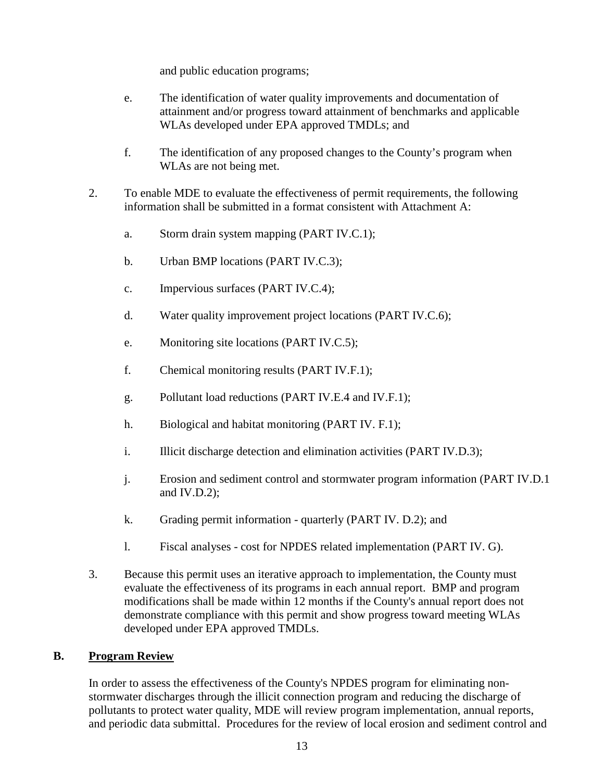and public education programs;

- e. The identification of water quality improvements and documentation of attainment and/or progress toward attainment of benchmarks and applicable WLAs developed under EPA approved TMDLs; and
- f. The identification of any proposed changes to the County's program when WLAs are not being met.
- 2. To enable MDE to evaluate the effectiveness of permit requirements, the following information shall be submitted in a format consistent with Attachment A:
	- a. Storm drain system mapping (PART IV.C.1);
	- b. Urban BMP locations (PART IV.C.3);
	- c. Impervious surfaces (PART IV.C.4);
	- d. Water quality improvement project locations (PART IV.C.6);
	- e. Monitoring site locations (PART IV.C.5);
	- f. Chemical monitoring results (PART IV.F.1);
	- g. Pollutant load reductions (PART IV.E.4 and IV.F.1);
	- h. Biological and habitat monitoring (PART IV. F.1);
	- i. Illicit discharge detection and elimination activities (PART IV.D.3);
	- j. Erosion and sediment control and stormwater program information (PART IV.D.1 and IV.D.2);
	- k. Grading permit information quarterly (PART IV. D.2); and
	- l. Fiscal analyses cost for NPDES related implementation (PART IV. G).
- 3. Because this permit uses an iterative approach to implementation, the County must evaluate the effectiveness of its programs in each annual report. BMP and program modifications shall be made within 12 months if the County's annual report does not demonstrate compliance with this permit and show progress toward meeting WLAs developed under EPA approved TMDLs.

## **B. Program Review**

In order to assess the effectiveness of the County's NPDES program for eliminating nonstormwater discharges through the illicit connection program and reducing the discharge of pollutants to protect water quality, MDE will review program implementation, annual reports, and periodic data submittal. Procedures for the review of local erosion and sediment control and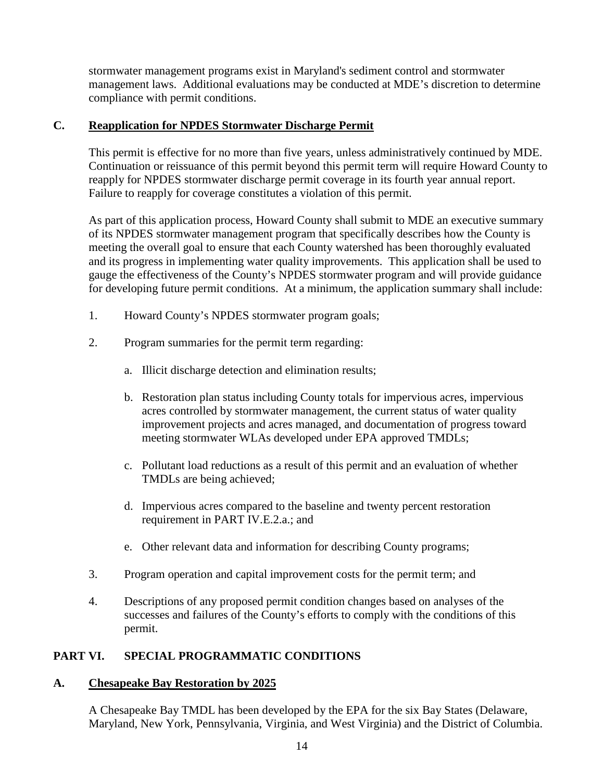stormwater management programs exist in Maryland's sediment control and stormwater management laws. Additional evaluations may be conducted at MDE's discretion to determine compliance with permit conditions.

## **C. Reapplication for NPDES Stormwater Discharge Permit**

This permit is effective for no more than five years, unless administratively continued by MDE. Continuation or reissuance of this permit beyond this permit term will require Howard County to reapply for NPDES stormwater discharge permit coverage in its fourth year annual report. Failure to reapply for coverage constitutes a violation of this permit.

As part of this application process, Howard County shall submit to MDE an executive summary of its NPDES stormwater management program that specifically describes how the County is meeting the overall goal to ensure that each County watershed has been thoroughly evaluated and its progress in implementing water quality improvements. This application shall be used to gauge the effectiveness of the County's NPDES stormwater program and will provide guidance for developing future permit conditions. At a minimum, the application summary shall include:

- 1. Howard County's NPDES stormwater program goals;
- 2. Program summaries for the permit term regarding:
	- a. Illicit discharge detection and elimination results;
	- b. Restoration plan status including County totals for impervious acres, impervious acres controlled by stormwater management, the current status of water quality improvement projects and acres managed, and documentation of progress toward meeting stormwater WLAs developed under EPA approved TMDLs;
	- c. Pollutant load reductions as a result of this permit and an evaluation of whether TMDLs are being achieved;
	- d. Impervious acres compared to the baseline and twenty percent restoration requirement in PART IV.E.2.a.; and
	- e. Other relevant data and information for describing County programs;
- 3. Program operation and capital improvement costs for the permit term; and
- 4. Descriptions of any proposed permit condition changes based on analyses of the successes and failures of the County's efforts to comply with the conditions of this permit.

## **PART VI. SPECIAL PROGRAMMATIC CONDITIONS**

#### **A. Chesapeake Bay Restoration by 2025**

A Chesapeake Bay TMDL has been developed by the EPA for the six Bay States (Delaware, Maryland, New York, Pennsylvania, Virginia, and West Virginia) and the District of Columbia.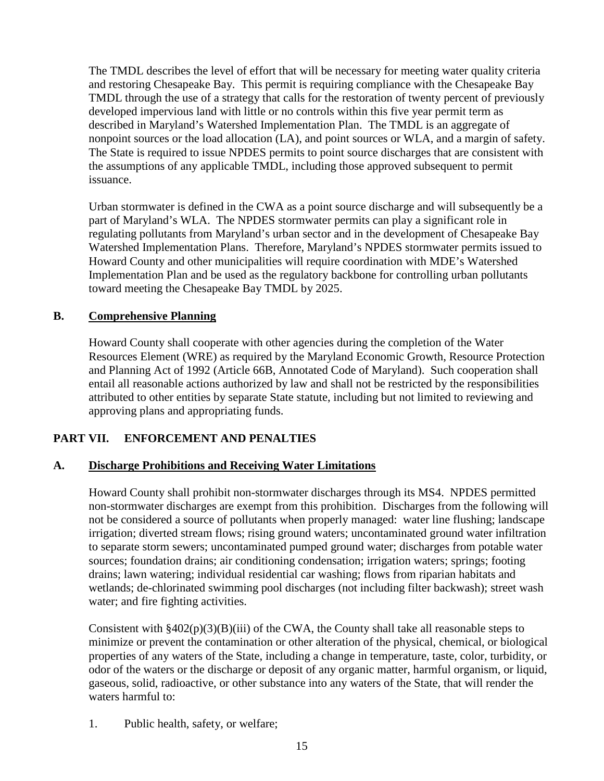The TMDL describes the level of effort that will be necessary for meeting water quality criteria and restoring Chesapeake Bay. This permit is requiring compliance with the Chesapeake Bay TMDL through the use of a strategy that calls for the restoration of twenty percent of previously developed impervious land with little or no controls within this five year permit term as described in Maryland's Watershed Implementation Plan. The TMDL is an aggregate of nonpoint sources or the load allocation (LA), and point sources or WLA, and a margin of safety. The State is required to issue NPDES permits to point source discharges that are consistent with the assumptions of any applicable TMDL, including those approved subsequent to permit issuance.

Urban stormwater is defined in the CWA as a point source discharge and will subsequently be a part of Maryland's WLA. The NPDES stormwater permits can play a significant role in regulating pollutants from Maryland's urban sector and in the development of Chesapeake Bay Watershed Implementation Plans. Therefore, Maryland's NPDES stormwater permits issued to Howard County and other municipalities will require coordination with MDE's Watershed Implementation Plan and be used as the regulatory backbone for controlling urban pollutants toward meeting the Chesapeake Bay TMDL by 2025.

## **B. Comprehensive Planning**

Howard County shall cooperate with other agencies during the completion of the Water Resources Element (WRE) as required by the Maryland Economic Growth, Resource Protection and Planning Act of 1992 (Article 66B, Annotated Code of Maryland). Such cooperation shall entail all reasonable actions authorized by law and shall not be restricted by the responsibilities attributed to other entities by separate State statute, including but not limited to reviewing and approving plans and appropriating funds.

## **PART VII. ENFORCEMENT AND PENALTIES**

## **A. Discharge Prohibitions and Receiving Water Limitations**

Howard County shall prohibit non-stormwater discharges through its MS4. NPDES permitted non-stormwater discharges are exempt from this prohibition. Discharges from the following will not be considered a source of pollutants when properly managed: water line flushing; landscape irrigation; diverted stream flows; rising ground waters; uncontaminated ground water infiltration to separate storm sewers; uncontaminated pumped ground water; discharges from potable water sources; foundation drains; air conditioning condensation; irrigation waters; springs; footing drains; lawn watering; individual residential car washing; flows from riparian habitats and wetlands; de-chlorinated swimming pool discharges (not including filter backwash); street wash water; and fire fighting activities.

Consistent with  $\frac{8402(p)(3)(B)(iii)}{20}$  of the CWA, the County shall take all reasonable steps to minimize or prevent the contamination or other alteration of the physical, chemical, or biological properties of any waters of the State, including a change in temperature, taste, color, turbidity, or odor of the waters or the discharge or deposit of any organic matter, harmful organism, or liquid, gaseous, solid, radioactive, or other substance into any waters of the State, that will render the waters harmful to:

1. Public health, safety, or welfare;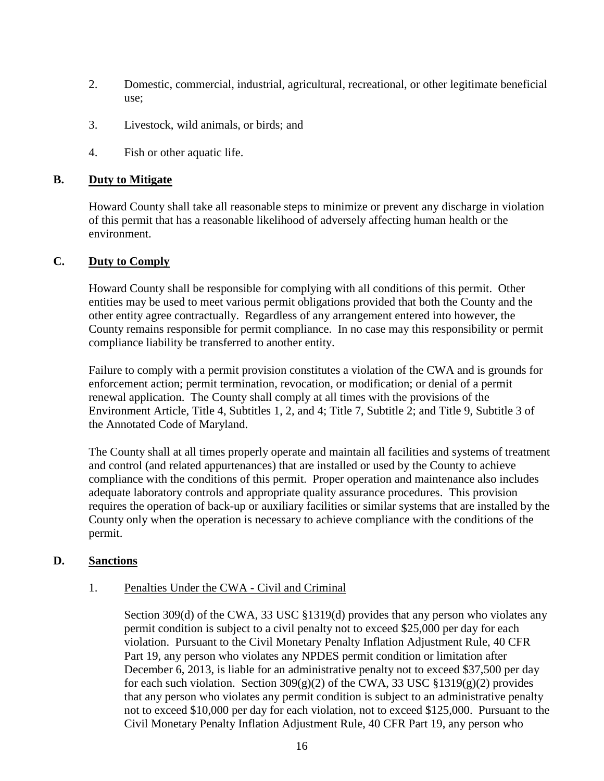- 2. Domestic, commercial, industrial, agricultural, recreational, or other legitimate beneficial use;
- 3. Livestock, wild animals, or birds; and
- 4. Fish or other aquatic life.

#### **B. Duty to Mitigate**

Howard County shall take all reasonable steps to minimize or prevent any discharge in violation of this permit that has a reasonable likelihood of adversely affecting human health or the environment.

#### **C. Duty to Comply**

Howard County shall be responsible for complying with all conditions of this permit. Other entities may be used to meet various permit obligations provided that both the County and the other entity agree contractually. Regardless of any arrangement entered into however, the County remains responsible for permit compliance. In no case may this responsibility or permit compliance liability be transferred to another entity.

Failure to comply with a permit provision constitutes a violation of the CWA and is grounds for enforcement action; permit termination, revocation, or modification; or denial of a permit renewal application. The County shall comply at all times with the provisions of the Environment Article, Title 4, Subtitles 1, 2, and 4; Title 7, Subtitle 2; and Title 9, Subtitle 3 of the Annotated Code of Maryland.

The County shall at all times properly operate and maintain all facilities and systems of treatment and control (and related appurtenances) that are installed or used by the County to achieve compliance with the conditions of this permit. Proper operation and maintenance also includes adequate laboratory controls and appropriate quality assurance procedures. This provision requires the operation of back-up or auxiliary facilities or similar systems that are installed by the County only when the operation is necessary to achieve compliance with the conditions of the permit.

#### **D. Sanctions**

#### 1. Penalties Under the CWA - Civil and Criminal

Section 309(d) of the CWA, 33 USC §1319(d) provides that any person who violates any permit condition is subject to a civil penalty not to exceed \$25,000 per day for each violation. Pursuant to the Civil Monetary Penalty Inflation Adjustment Rule, 40 CFR Part 19, any person who violates any NPDES permit condition or limitation after December 6, 2013, is liable for an administrative penalty not to exceed \$37,500 per day for each such violation. Section  $309(g)(2)$  of the CWA, 33 USC §1319(g)(2) provides that any person who violates any permit condition is subject to an administrative penalty not to exceed \$10,000 per day for each violation, not to exceed \$125,000. Pursuant to the Civil Monetary Penalty Inflation Adjustment Rule, 40 CFR Part 19, any person who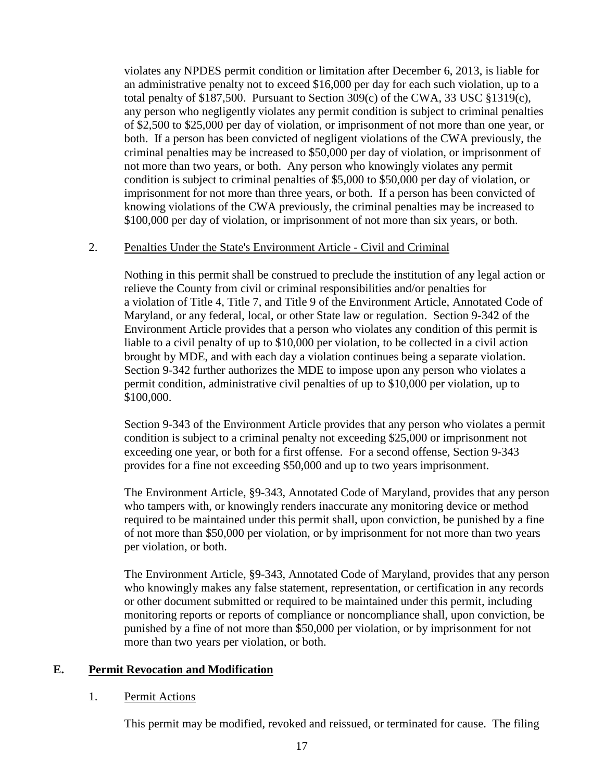violates any NPDES permit condition or limitation after December 6, 2013, is liable for an administrative penalty not to exceed \$16,000 per day for each such violation, up to a total penalty of \$187,500. Pursuant to Section 309(c) of the CWA, 33 USC §1319(c), any person who negligently violates any permit condition is subject to criminal penalties of \$2,500 to \$25,000 per day of violation, or imprisonment of not more than one year, or both. If a person has been convicted of negligent violations of the CWA previously, the criminal penalties may be increased to \$50,000 per day of violation, or imprisonment of not more than two years, or both. Any person who knowingly violates any permit condition is subject to criminal penalties of \$5,000 to \$50,000 per day of violation, or imprisonment for not more than three years, or both. If a person has been convicted of knowing violations of the CWA previously, the criminal penalties may be increased to \$100,000 per day of violation, or imprisonment of not more than six years, or both.

#### 2. Penalties Under the State's Environment Article - Civil and Criminal

Nothing in this permit shall be construed to preclude the institution of any legal action or relieve the County from civil or criminal responsibilities and/or penalties for a violation of Title 4, Title 7, and Title 9 of the Environment Article, Annotated Code of Maryland, or any federal, local, or other State law or regulation. Section 9-342 of the Environment Article provides that a person who violates any condition of this permit is liable to a civil penalty of up to \$10,000 per violation, to be collected in a civil action brought by MDE, and with each day a violation continues being a separate violation. Section 9-342 further authorizes the MDE to impose upon any person who violates a permit condition, administrative civil penalties of up to \$10,000 per violation, up to \$100,000.

Section 9-343 of the Environment Article provides that any person who violates a permit condition is subject to a criminal penalty not exceeding \$25,000 or imprisonment not exceeding one year, or both for a first offense. For a second offense, Section 9-343 provides for a fine not exceeding \$50,000 and up to two years imprisonment.

The Environment Article, §9-343, Annotated Code of Maryland, provides that any person who tampers with, or knowingly renders inaccurate any monitoring device or method required to be maintained under this permit shall, upon conviction, be punished by a fine of not more than \$50,000 per violation, or by imprisonment for not more than two years per violation, or both.

The Environment Article, §9-343, Annotated Code of Maryland, provides that any person who knowingly makes any false statement, representation, or certification in any records or other document submitted or required to be maintained under this permit, including monitoring reports or reports of compliance or noncompliance shall, upon conviction, be punished by a fine of not more than \$50,000 per violation, or by imprisonment for not more than two years per violation, or both.

#### **E. Permit Revocation and Modification**

#### 1. Permit Actions

This permit may be modified, revoked and reissued, or terminated for cause. The filing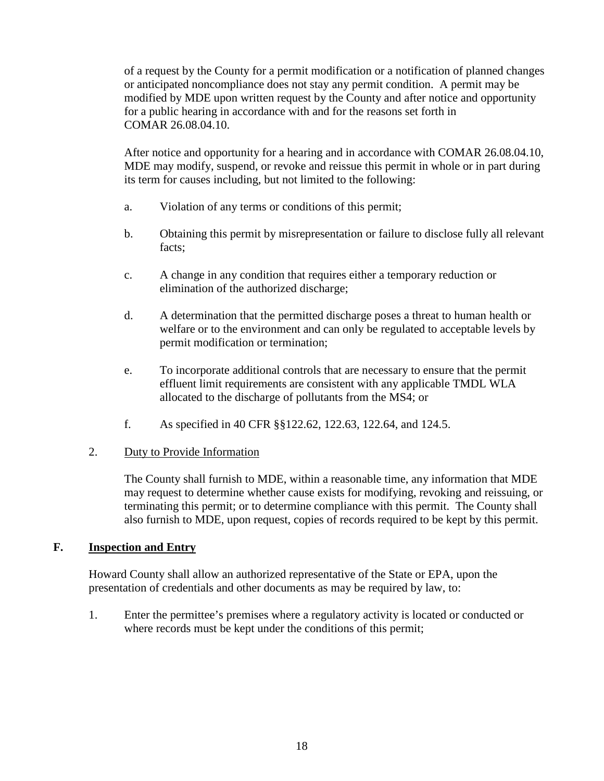of a request by the County for a permit modification or a notification of planned changes or anticipated noncompliance does not stay any permit condition. A permit may be modified by MDE upon written request by the County and after notice and opportunity for a public hearing in accordance with and for the reasons set forth in COMAR 26.08.04.10.

After notice and opportunity for a hearing and in accordance with COMAR 26.08.04.10, MDE may modify, suspend, or revoke and reissue this permit in whole or in part during its term for causes including, but not limited to the following:

- a. Violation of any terms or conditions of this permit;
- b. Obtaining this permit by misrepresentation or failure to disclose fully all relevant facts;
- c. A change in any condition that requires either a temporary reduction or elimination of the authorized discharge;
- d. A determination that the permitted discharge poses a threat to human health or welfare or to the environment and can only be regulated to acceptable levels by permit modification or termination;
- e. To incorporate additional controls that are necessary to ensure that the permit effluent limit requirements are consistent with any applicable TMDL WLA allocated to the discharge of pollutants from the MS4; or
- f. As specified in 40 CFR §§122.62, 122.63, 122.64, and 124.5.

#### 2. Duty to Provide Information

The County shall furnish to MDE, within a reasonable time, any information that MDE may request to determine whether cause exists for modifying, revoking and reissuing, or terminating this permit; or to determine compliance with this permit. The County shall also furnish to MDE, upon request, copies of records required to be kept by this permit.

## **F. Inspection and Entry**

Howard County shall allow an authorized representative of the State or EPA, upon the presentation of credentials and other documents as may be required by law, to:

1. Enter the permittee's premises where a regulatory activity is located or conducted or where records must be kept under the conditions of this permit;